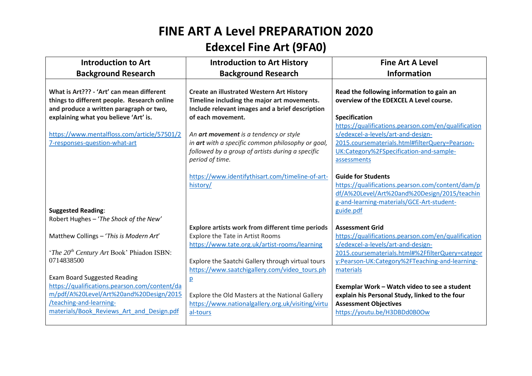## **FINE ART A Level PREPARATION 2020 Edexcel Fine Art (9FA0)**

| <b>Introduction to Art</b>                                                                                                                                                                              | <b>Introduction to Art History</b>                                                                                                                                      | <b>Fine Art A Level</b>                                                                                                                                                                 |
|---------------------------------------------------------------------------------------------------------------------------------------------------------------------------------------------------------|-------------------------------------------------------------------------------------------------------------------------------------------------------------------------|-----------------------------------------------------------------------------------------------------------------------------------------------------------------------------------------|
| <b>Background Research</b>                                                                                                                                                                              | <b>Background Research</b>                                                                                                                                              | <b>Information</b>                                                                                                                                                                      |
| What is Art??? - 'Art' can mean different<br>things to different people. Research online<br>and produce a written paragraph or two,<br>explaining what you believe 'Art' is.                            | <b>Create an illustrated Western Art History</b><br>Timeline including the major art movements.<br>Include relevant images and a brief description<br>of each movement. | Read the following information to gain an<br>overview of the EDEXCEL A Level course.<br><b>Specification</b><br>https://qualifications.pearson.com/en/qualification                     |
| https://www.mentalfloss.com/article/57501/2<br>7-responses-question-what-art                                                                                                                            | An art movement is a tendency or style<br>in art with a specific common philosophy or goal,<br>followed by a group of artists during a specific<br>period of time.      | s/edexcel-a-levels/art-and-design-<br>2015.coursematerials.html#filterQuery=Pearson-<br>UK:Category%2FSpecification-and-sample-<br>assessments                                          |
| <b>Suggested Reading:</b>                                                                                                                                                                               | https://www.identifythisart.com/timeline-of-art-<br>history/                                                                                                            | <b>Guide for Students</b><br>https://qualifications.pearson.com/content/dam/p<br>df/A%20Level/Art%20and%20Design/2015/teachin<br>g-and-learning-materials/GCE-Art-student-<br>guide.pdf |
| Robert Hughes - 'The Shock of the New'                                                                                                                                                                  | Explore artists work from different time periods                                                                                                                        | <b>Assessment Grid</b>                                                                                                                                                                  |
| Matthew Collings - 'This is Modern Art'<br><i>'The 20<sup>th</sup> Century Art Book' Phiadon ISBN:</i>                                                                                                  | Explore the Tate in Artist Rooms<br>https://www.tate.org.uk/artist-rooms/learning                                                                                       | https://qualifications.pearson.com/en/qualification<br>s/edexcel-a-levels/art-and-design-<br>2015.coursematerials.html#%2FfilterQuery=categor                                           |
| 0714838500                                                                                                                                                                                              | Explore the Saatchi Gallery through virtual tours                                                                                                                       | y:Pearson-UK:Category%2FTeaching-and-learning-                                                                                                                                          |
| <b>Exam Board Suggested Reading</b><br>https://qualifications.pearson.com/content/da<br>m/pdf/A%20Level/Art%20and%20Design/2015<br>/teaching-and-learning-<br>materials/Book Reviews Art and Design.pdf | https://www.saatchigallery.com/video tours.ph<br>p<br>Explore the Old Masters at the National Gallery<br>https://www.nationalgallery.org.uk/visiting/virtu<br>al-tours  | materials<br>Exemplar Work - Watch video to see a student<br>explain his Personal Study, linked to the four<br><b>Assessment Objectives</b><br>https://youtu.be/H3DBDd0B0Ow             |